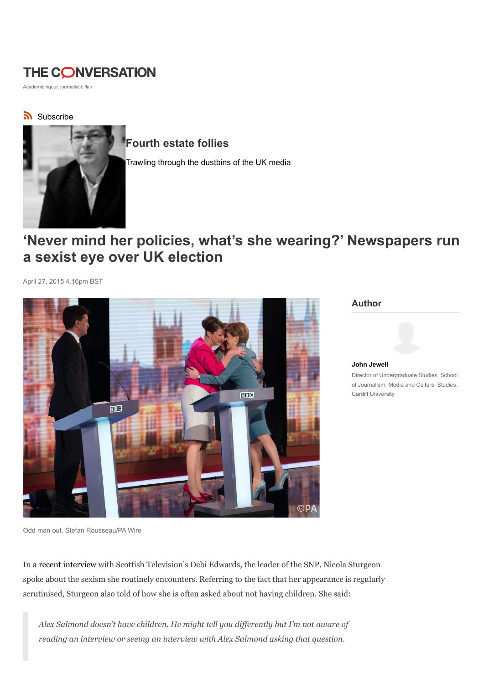# **THE CONVERSATION**

Academic rigour, journalistic flair

## Subscribe



## Fourth estate follies

Trawling through the dustbins of the UK media

# 'Never mind her policies, what's she wearing?' Newspapers run a sexist eye over UK election

April 27, 2015 4.16pm BST



#### Author



John Jewell Director of Undergraduate Studies, School of Journalism, Media and Cultural Studies, Cardiff University

Odd man out. Stefan Rousseau/PA Wire

In a recent interview with Scottish Television's Debi Edwards, the leader of the SNP, Nicola Sturgeon spoke about the sexism she routinely encounters. Referring to the fact that her appearance is regularly scrutinised, Sturgeon also told of how she is often asked about not having children. She said:

Alex Salmond doesn't have children. He might tell you differently but I'm not aware of reading an interview or seeing an interview with Alex Salmond asking that question.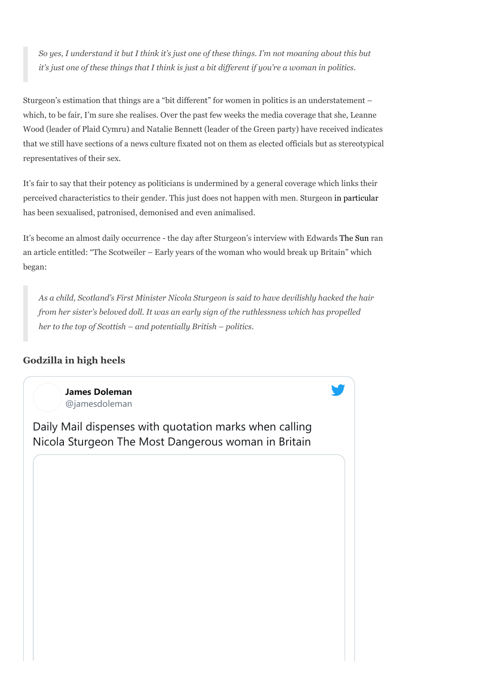So yes, I understand it but I think it's just one of these things. I'm not moaning about this but it's just one of these things that I think is just a bit different if you're a woman in politics.

Sturgeon's estimation that things are a "bit different" for women in politics is an understatement – which, to be fair, I'm sure she realises. Over the past few weeks the media coverage that she, Leanne Wood (leader of Plaid Cymru) and Natalie Bennett (leader of the Green party) have received indicates that we still have sections of a news culture fixated not on them as elected officials but as stereotypical representatives of their sex.

It's fair to say that their potency as politicians is undermined by a general coverage which links their perceived characteristics to their gender. This just does not happen with men. Sturgeon in particular has been sexualised, patronised, demonised and even animalised.

It's become an almost daily occurrence - the day after Sturgeon's interview with Edwards The Sun ran an article entitled: "The Scotweiler – Early years of the woman who would break up Britain" which began:

As a child, Scotland's First Minister Nicola Sturgeon is said to have devilishly hacked the hair from her sister's beloved doll. It was an early sign of the ruthlessness which has propelled her to the top of Scottish – and potentially British – politics.

#### Godzilla in high heels

James Doleman @jamesdoleman

Daily Mail dispenses with quotation marks when calling Nicola Sturgeon The Most Dangerous woman in Britain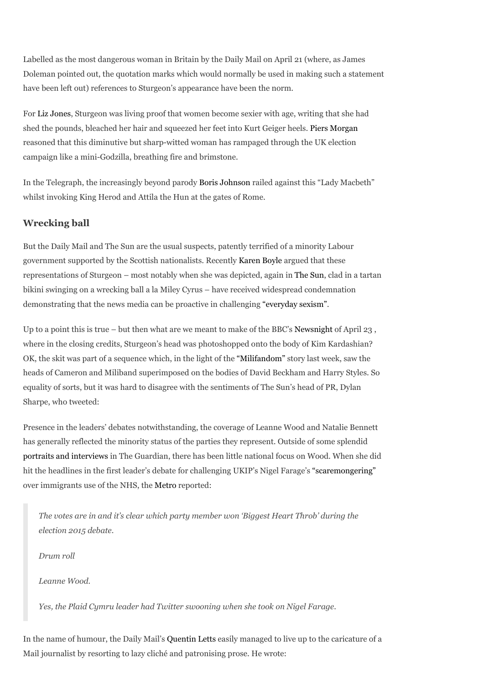Labelled as the most dangerous woman in Britain by the Daily Mail on April 21 (where, as James Doleman pointed out, the quotation marks which would normally be used in making such a statement have been left out) references to Sturgeon's appearance have been the norm.

For Liz Jones, Sturgeon was living proof that women become sexier with age, writing that she had shed the pounds, bleached her hair and squeezed her feet into Kurt Geiger heels. Piers Morgan reasoned that this diminutive but sharp-witted woman has rampaged through the UK election campaign like a mini-Godzilla, breathing fire and brimstone.

In the Telegraph, the increasingly beyond parody Boris Johnson railed against this "Lady Macbeth" whilst invoking King Herod and Attila the Hun at the gates of Rome.

## Wrecking ball

But the Daily Mail and The Sun are the usual suspects, patently terrified of a minority Labour government supported by the Scottish nationalists. Recently Karen Boyle argued that these representations of Sturgeon – most notably when she was depicted, again in The Sun, clad in a tartan bikini swinging on a wrecking ball a la Miley Cyrus – have received widespread condemnation demonstrating that the news media can be proactive in challenging "everyday sexism".

Up to a point this is true – but then what are we meant to make of the BBC's Newsnight of April 23 , where in the closing credits, Sturgeon's head was photoshopped onto the body of Kim Kardashian? OK, the skit was part of a sequence which, in the light of the "Milifandom" story last week, saw the heads of Cameron and Miliband superimposed on the bodies of David Beckham and Harry Styles. So equality of sorts, but it was hard to disagree with the sentiments of The Sun's head of PR, Dylan Sharpe, who tweeted:

Presence in the leaders' debates notwithstanding, the coverage of Leanne Wood and Natalie Bennett has generally reflected the minority status of the parties they represent. Outside of some splendid portraits and interviews in The Guardian, there has been little national focus on Wood. When she did hit the headlines in the first leader's debate for challenging UKIP's Nigel Farage's "scaremongering" over immigrants use of the NHS, the Metro reported:

The votes are in and it's clear which party member won 'Biggest Heart Throb' during the election 2015 debate.

Drum roll

Leanne Wood.

Yes, the Plaid Cymru leader had Twitter swooning when she took on Nigel Farage.

In the name of humour, the Daily Mail's Quentin Letts easily managed to live up to the caricature of a Mail journalist by resorting to lazy cliché and patronising prose. He wrote: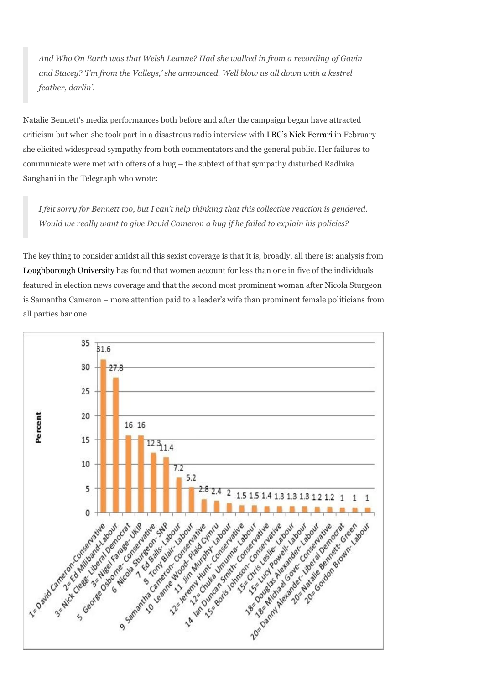And Who On Earth was that Welsh Leanne? Had she walked in from a recording of Gavin and Stacey? 'I'm from the Valleys,' she announced. Well blow us all down with a kestrel feather, darlin'.

Natalie Bennett's media performances both before and after the campaign began have attracted criticism but when she took part in a disastrous radio interview with LBC's Nick Ferrari in February she elicited widespread sympathy from both commentators and the general public. Her failures to communicate were met with offers of a hug – the subtext of that sympathy disturbed Radhika Sanghani in the Telegraph who wrote:

I felt sorry for Bennett too, but I can't help thinking that this collective reaction is gendered. Would we really want to give David Cameron a hug if he failed to explain his policies?

The key thing to consider amidst all this sexist coverage is that it is, broadly, all there is: analysis from Loughborough University has found that women account for less than one in five of the individuals featured in election news coverage and that the second most prominent woman after Nicola Sturgeon is Samantha Cameron – more attention paid to a leader's wife than prominent female politicians from all parties bar one.